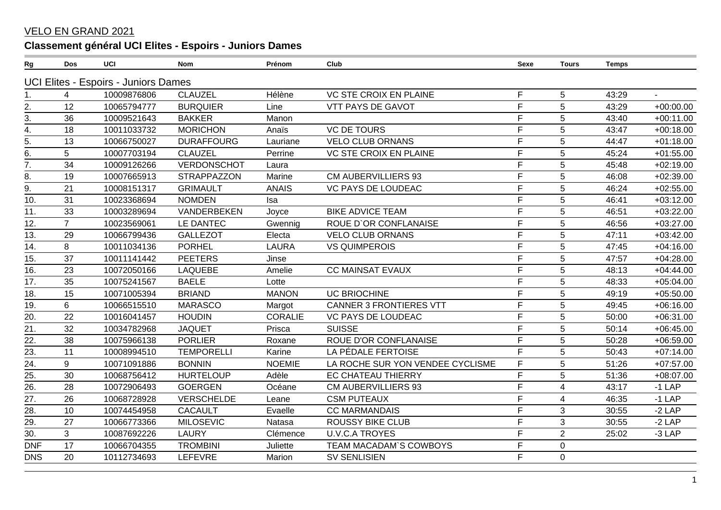## VELO EN GRAND 2021

## **Classement général UCI Elites - Espoirs - Juniors Dames**

| ${\sf Rg}$        | Dos            | UCI                                  | <b>Nom</b>         | Prénom         | Club                             | Sexe | <b>Tours</b>             | <b>Temps</b> |             |
|-------------------|----------------|--------------------------------------|--------------------|----------------|----------------------------------|------|--------------------------|--------------|-------------|
|                   |                | UCI Elites - Espoirs - Juniors Dames |                    |                |                                  |      |                          |              |             |
|                   | 4              | 10009876806                          | <b>CLAUZEL</b>     | Hélène         | <b>VC STE CROIX EN PLAINE</b>    | F    | 5                        | 43:29        | $\sim$      |
| 2.                | 12             | 10065794777                          | <b>BURQUIER</b>    | Line           | <b>VTT PAYS DE GAVOT</b>         | F    | 5                        | 43:29        | $+00:00.00$ |
| $\overline{3}$ .  | 36             | 10009521643                          | <b>BAKKER</b>      | Manon          |                                  | F    | 5                        | 43:40        | $+00:11.00$ |
| 4.                | 18             | 10011033732                          | <b>MORICHON</b>    | Anaïs          | <b>VC DE TOURS</b>               | F    | 5                        | 43:47        | $+00:18.00$ |
| $rac{5}{6}$       | 13             | 10066750027                          | <b>DURAFFOURG</b>  | Lauriane       | <b>VELO CLUB ORNANS</b>          | F    | $\sqrt{5}$               | 44:47        | $+01:18.00$ |
|                   | 5              | 10007703194                          | <b>CLAUZEL</b>     | Perrine        | <b>VC STE CROIX EN PLAINE</b>    | F    | 5                        | 45:24        | $+01:55.00$ |
| $\overline{7}$ .  | 34             | 10009126266                          | VERDONSCHOT        | Laura          |                                  | F    | 5                        | 45:48        | $+02:19.00$ |
| 8.                | 19             | 10007665913                          | <b>STRAPPAZZON</b> | Marine         | <b>CM AUBERVILLIERS 93</b>       | É    | 5                        | 46:08        | $+02:39.00$ |
| $\overline{9}$ .  | 21             | 10008151317                          | <b>GRIMAULT</b>    | <b>ANAIS</b>   | <b>VC PAYS DE LOUDEAC</b>        | E    | 5                        | 46:24        | $+02:55.00$ |
| 10.               | 31             | 10023368694                          | <b>NOMDEN</b>      | Isa            |                                  | F    | 5                        | 46:41        | $+03:12.00$ |
| 11.               | 33             | 10003289694                          | VANDERBEKEN        | Joyce          | <b>BIKE ADVICE TEAM</b>          | F    | 5                        | 46:51        | $+03:22.00$ |
| 12.               | $\overline{7}$ | 10023569061                          | LE DANTEC          | Gwennig        | ROUE D'OR CONFLANAISE            | F    | 5                        | 46:56        | $+03:27.00$ |
| 13.               | 29             | 10066799436                          | <b>GALLEZOT</b>    | Electa         | <b>VELO CLUB ORNANS</b>          | F    | $\overline{5}$           | 47:11        | $+03:42.00$ |
| 14.               | 8              | 10011034136                          | <b>PORHEL</b>      | <b>LAURA</b>   | <b>VS QUIMPEROIS</b>             | F    | 5                        | 47:45        | $+04:16.00$ |
| 15.               | 37             | 10011141442                          | <b>PEETERS</b>     | Jinse          |                                  | F    | 5                        | 47:57        | $+04:28.00$ |
| 16.               | 23             | 10072050166                          | <b>LAQUEBE</b>     | Amelie         | <b>CC MAINSAT EVAUX</b>          | F    | 5                        | 48:13        | $+04:44.00$ |
| 17.               | 35             | 10075241567                          | <b>BAELE</b>       | Lotte          |                                  | E    | 5                        | 48:33        | $+05:04.00$ |
| 18.               | 15             | 10071005394                          | <b>BRIAND</b>      | <b>MANON</b>   | <b>UC BRIOCHINE</b>              | F    | $\overline{5}$           | 49:19        | $+05:50.00$ |
| 19.               | 6              | 10066515510                          | <b>MARASCO</b>     | Margot         | <b>CANNER 3 FRONTIERES VTT</b>   | F    | 5                        | 49:45        | $+06:16.00$ |
| 20.               | 22             | 10016041457                          | <b>HOUDIN</b>      | <b>CORALIE</b> | VC PAYS DE LOUDEAC               | F    | $\overline{5}$           | 50:00        | $+06:31.00$ |
| 21.               | 32             | 10034782968                          | <b>JAQUET</b>      | Prisca         | <b>SUISSE</b>                    | F    | 5                        | 50:14        | $+06:45.00$ |
| 22.               | 38             | 10075966138                          | <b>PORLIER</b>     | Roxane         | <b>ROUE D'OR CONFLANAISE</b>     | F    | 5                        | 50:28        | $+06:59.00$ |
| $\overline{23}$ . | 11             | 10008994510                          | <b>TEMPORELLI</b>  | Karine         | LA PÉDALE FERTOISE               | E    | 5                        | 50:43        | $+07:14.00$ |
| $\overline{24}$ . | 9              | 10071091886                          | <b>BONNIN</b>      | <b>NOEMIE</b>  | LA ROCHE SUR YON VENDEE CYCLISME | F    | 5                        | 51:26        | $+07:57.00$ |
| 25.               | 30             | 10068756412                          | <b>HURTELOUP</b>   | Adèle          | <b>EC CHATEAU THIERRY</b>        | F    | 5                        | 51:36        | $+08:07.00$ |
| 26.               | 28             | 10072906493                          | <b>GOERGEN</b>     | Océane         | <b>CM AUBERVILLIERS 93</b>       | F    | $\overline{4}$           | 43:17        | $-1$ LAP    |
| 27.               | 26             | 10068728928                          | VERSCHELDE         | Leane          | <b>CSM PUTEAUX</b>               | F    | $\overline{\mathcal{A}}$ | 46:35        | $-1$ LAP    |
| 28.               | 10             | 10074454958                          | <b>CACAULT</b>     | Evaelle        | <b>CC MARMANDAIS</b>             | F    | 3                        | 30:55        | $-2$ LAP    |
| 29.               | 27             | 10066773366                          | <b>MILOSEVIC</b>   | Natasa         | <b>ROUSSY BIKE CLUB</b>          | F    | $\mathbf{3}$             | 30:55        | $-2$ LAP    |
| 30.               | 3              | 10087692226                          | <b>LAURY</b>       | Clémence       | <b>U.V.C.A TROYES</b>            | F    | $\boldsymbol{2}$         | 25:02        | $-3$ LAP    |
| <b>DNF</b>        | 17             | 10066704355                          | <b>TROMBINI</b>    | Juliette       | TEAM MACADAM'S COWBOYS           | F    | $\mathbf 0$              |              |             |
| <b>DNS</b>        | 20             | 10112734693                          | <b>LEFEVRE</b>     | Marion         | <b>SV SENLISIEN</b>              | F    | $\pmb{0}$                |              |             |